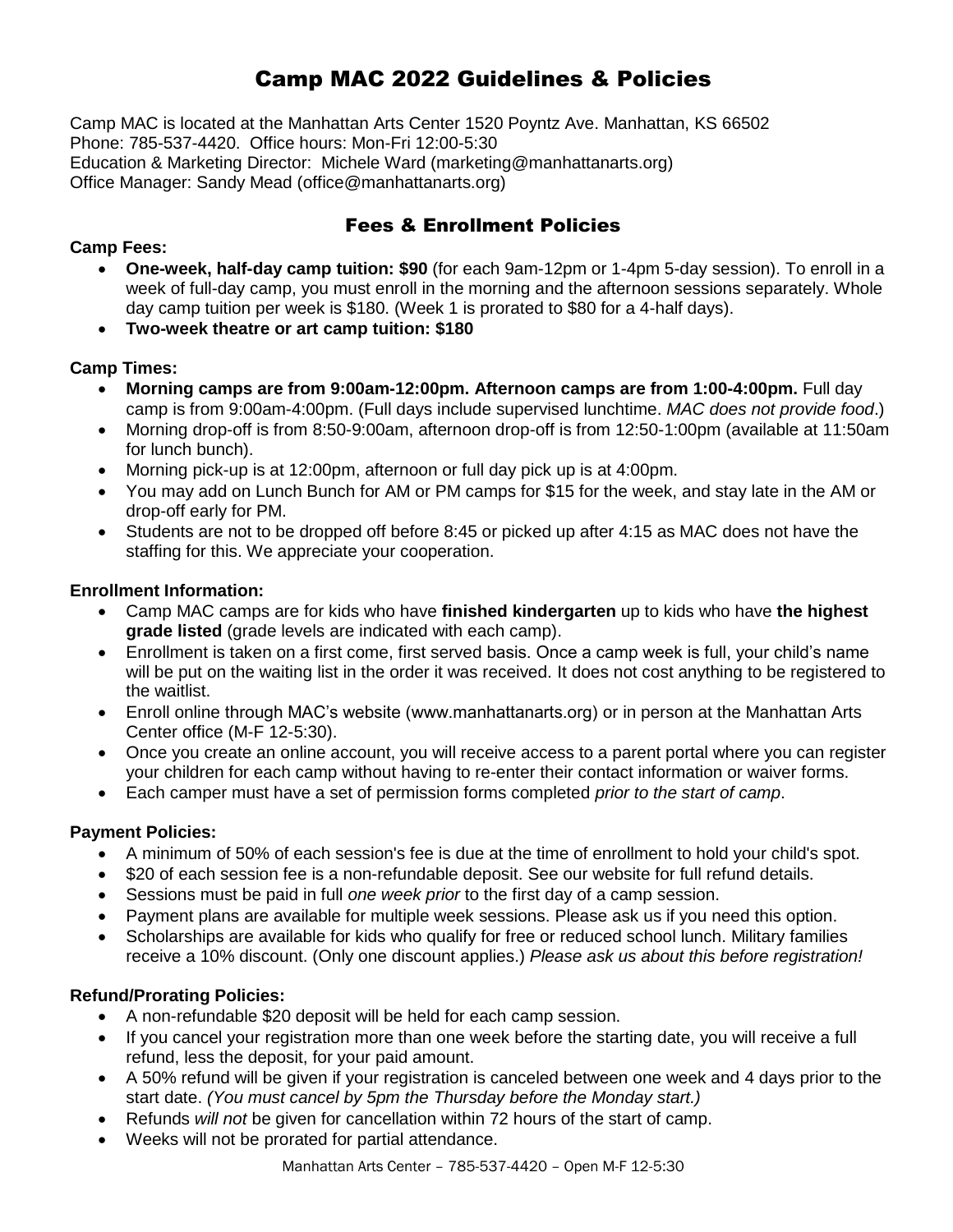### Camp MAC 2022 Guidelines & Policies

Camp MAC is located at the Manhattan Arts Center 1520 Poyntz Ave. Manhattan, KS 66502 Phone: 785-537-4420. Office hours: Mon-Fri 12:00-5:30 Education & Marketing Director: Michele Ward (marketing@manhattanarts.org) Office Manager: Sandy Mead (office@manhattanarts.org)

### Fees & Enrollment Policies

### **Camp Fees:**

- **One-week, half-day camp tuition: \$90** (for each 9am-12pm or 1-4pm 5-day session). To enroll in a week of full-day camp, you must enroll in the morning and the afternoon sessions separately. Whole day camp tuition per week is \$180. (Week 1 is prorated to \$80 for a 4-half days).
- **Two-week theatre or art camp tuition: \$180**

### **Camp Times:**

- **Morning camps are from 9:00am-12:00pm. Afternoon camps are from 1:00-4:00pm.** Full day camp is from 9:00am-4:00pm. (Full days include supervised lunchtime. *MAC does not provide food*.)
- Morning drop-off is from 8:50-9:00am, afternoon drop-off is from 12:50-1:00pm (available at 11:50am for lunch bunch).
- Morning pick-up is at 12:00pm, afternoon or full day pick up is at 4:00pm.
- You may add on Lunch Bunch for AM or PM camps for \$15 for the week, and stay late in the AM or drop-off early for PM.
- Students are not to be dropped off before 8:45 or picked up after 4:15 as MAC does not have the staffing for this. We appreciate your cooperation.

### **Enrollment Information:**

- Camp MAC camps are for kids who have **finished kindergarten** up to kids who have **the highest grade listed** (grade levels are indicated with each camp).
- Enrollment is taken on a first come, first served basis. Once a camp week is full, your child's name will be put on the waiting list in the order it was received. It does not cost anything to be registered to the waitlist.
- Enroll online through MAC's website (www.manhattanarts.org) or in person at the Manhattan Arts Center office (M-F 12-5:30).
- Once you create an online account, you will receive access to a parent portal where you can register your children for each camp without having to re-enter their contact information or waiver forms.
- Each camper must have a set of permission forms completed *prior to the start of camp*.

### **Payment Policies:**

- A minimum of 50% of each session's fee is due at the time of enrollment to hold your child's spot.
- \$20 of each session fee is a non-refundable deposit. See our website for full refund details.
- Sessions must be paid in full *one week prior* to the first day of a camp session.
- Payment plans are available for multiple week sessions. Please ask us if you need this option.
- Scholarships are available for kids who qualify for free or reduced school lunch. Military families receive a 10% discount. (Only one discount applies.) *Please ask us about this before registration!*

### **Refund/Prorating Policies:**

- A non-refundable \$20 deposit will be held for each camp session.
- If you cancel your registration more than one week before the starting date, you will receive a full refund, less the deposit, for your paid amount.
- A 50% refund will be given if your registration is canceled between one week and 4 days prior to the start date. *(You must cancel by 5pm the Thursday before the Monday start.)*
- Refunds *will not* be given for cancellation within 72 hours of the start of camp.
- Weeks will not be prorated for partial attendance.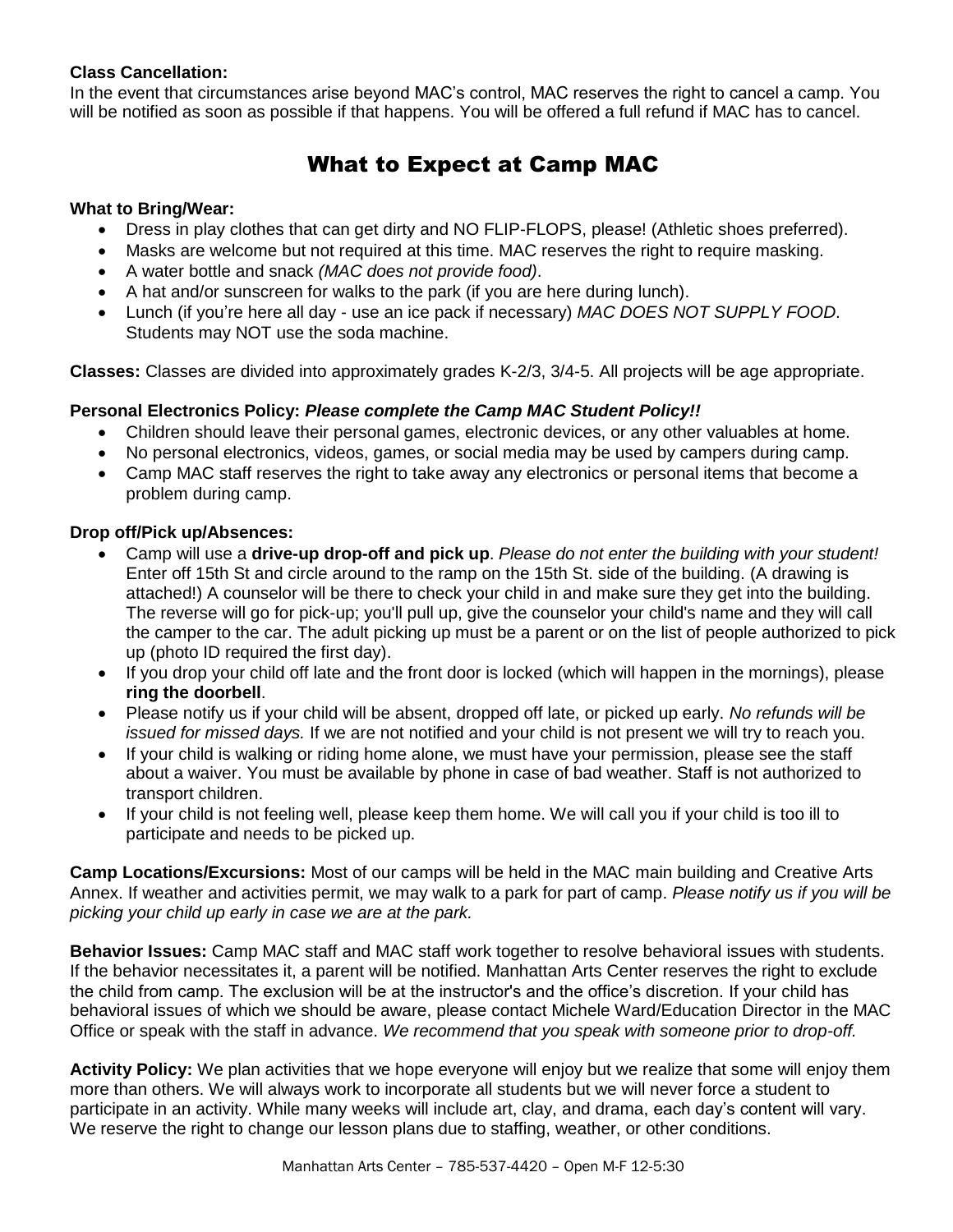### **Class Cancellation:**

In the event that circumstances arise beyond MAC's control, MAC reserves the right to cancel a camp. You will be notified as soon as possible if that happens. You will be offered a full refund if MAC has to cancel.

### What to Expect at Camp MAC

### **What to Bring/Wear:**

- Dress in play clothes that can get dirty and NO FLIP-FLOPS, please! (Athletic shoes preferred).
- Masks are welcome but not required at this time. MAC reserves the right to require masking.
- A water bottle and snack *(MAC does not provide food)*.
- A hat and/or sunscreen for walks to the park (if you are here during lunch).
- Lunch (if you're here all day use an ice pack if necessary) *MAC DOES NOT SUPPLY FOOD*. Students may NOT use the soda machine.

**Classes:** Classes are divided into approximately grades K-2/3, 3/4-5. All projects will be age appropriate.

### **Personal Electronics Policy:** *Please complete the Camp MAC Student Policy!!*

- Children should leave their personal games, electronic devices, or any other valuables at home.
- No personal electronics, videos, games, or social media may be used by campers during camp.
- Camp MAC staff reserves the right to take away any electronics or personal items that become a problem during camp.

### **Drop off/Pick up/Absences:**

- Camp will use a **drive-up drop-off and pick up**. *Please do not enter the building with your student!* Enter off 15th St and circle around to the ramp on the 15th St. side of the building. (A drawing is attached!) A counselor will be there to check your child in and make sure they get into the building. The reverse will go for pick-up; you'll pull up, give the counselor your child's name and they will call the camper to the car. The adult picking up must be a parent or on the list of people authorized to pick up (photo ID required the first day).
- If you drop your child off late and the front door is locked (which will happen in the mornings), please **ring the doorbell**.
- Please notify us if your child will be absent, dropped off late, or picked up early. *No refunds will be issued for missed days.* If we are not notified and your child is not present we will try to reach you.
- If your child is walking or riding home alone, we must have your permission, please see the staff about a waiver. You must be available by phone in case of bad weather. Staff is not authorized to transport children.
- If your child is not feeling well, please keep them home. We will call you if your child is too ill to participate and needs to be picked up.

**Camp Locations/Excursions:** Most of our camps will be held in the MAC main building and Creative Arts Annex. If weather and activities permit, we may walk to a park for part of camp. *Please notify us if you will be picking your child up early in case we are at the park.* 

**Behavior Issues:** Camp MAC staff and MAC staff work together to resolve behavioral issues with students. If the behavior necessitates it, a parent will be notified. Manhattan Arts Center reserves the right to exclude the child from camp. The exclusion will be at the instructor's and the office's discretion. If your child has behavioral issues of which we should be aware, please contact Michele Ward/Education Director in the MAC Office or speak with the staff in advance. *We recommend that you speak with someone prior to drop-off.*

**Activity Policy:** We plan activities that we hope everyone will enjoy but we realize that some will enjoy them more than others. We will always work to incorporate all students but we will never force a student to participate in an activity. While many weeks will include art, clay, and drama, each day's content will vary. We reserve the right to change our lesson plans due to staffing, weather, or other conditions.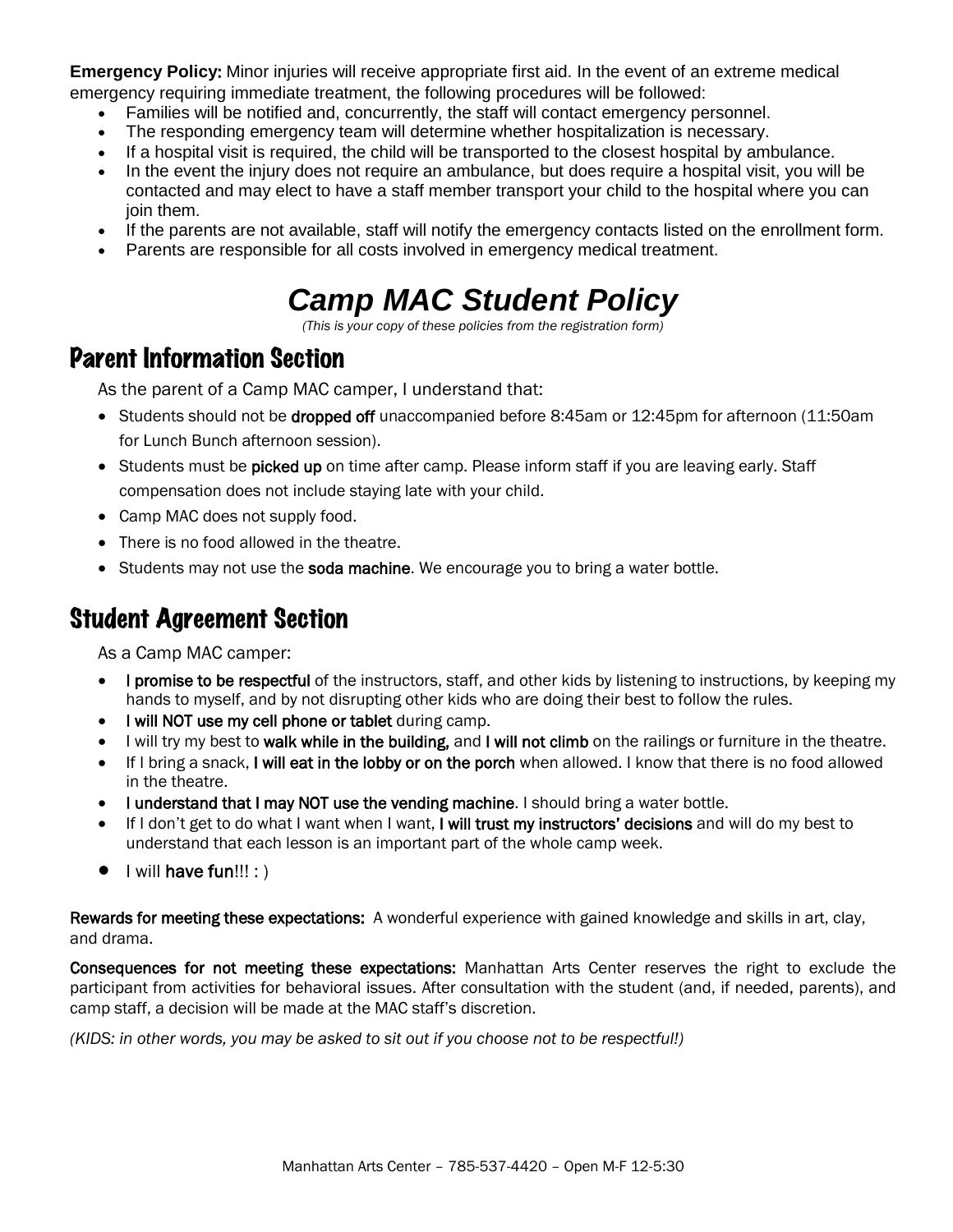**Emergency Policy**: Minor injuries will receive appropriate first aid. In the event of an extreme medical emergency requiring immediate treatment, the following procedures will be followed:

- Families will be notified and, concurrently, the staff will contact emergency personnel.
- The responding emergency team will determine whether hospitalization is necessary.
- If a hospital visit is required, the child will be transported to the closest hospital by ambulance.
- In the event the injury does not require an ambulance, but does require a hospital visit, you will be contacted and may elect to have a staff member transport your child to the hospital where you can join them.
- If the parents are not available, staff will notify the emergency contacts listed on the enrollment form.
- Parents are responsible for all costs involved in emergency medical treatment.

# *Camp MAC Student Policy*

*(This is your copy of these policies from the registration form)*

# Parent Information Section

As the parent of a Camp MAC camper, I understand that:

- Students should not be dropped off unaccompanied before 8:45am or 12:45pm for afternoon (11:50am for Lunch Bunch afternoon session).
- Students must be picked up on time after camp. Please inform staff if you are leaving early. Staff compensation does not include staying late with your child.
- Camp MAC does not supply food.
- There is no food allowed in the theatre.
- $\bullet$  Students may not use the soda machine. We encourage you to bring a water bottle.

## Student Agreement Section

As a Camp MAC camper:

- I promise to be respectful of the instructors, staff, and other kids by listening to instructions, by keeping my hands to myself, and by not disrupting other kids who are doing their best to follow the rules.
- I will NOT use my cell phone or tablet during camp.
- I will try my best to walk while in the building, and I will not climb on the railings or furniture in the theatre.
- If I bring a snack, I will eat in the lobby or on the porch when allowed. I know that there is no food allowed in the theatre.
- I understand that I may NOT use the vending machine. I should bring a water bottle.
- If I don't get to do what I want when I want. I will trust my instructors' decisions and will do my best to understand that each lesson is an important part of the whole camp week.
- $\bullet$  | will have fun!!! : )

Rewards for meeting these expectations: A wonderful experience with gained knowledge and skills in art, clay, and drama.

Consequences for not meeting these expectations: Manhattan Arts Center reserves the right to exclude the participant from activities for behavioral issues. After consultation with the student (and, if needed, parents), and camp staff, a decision will be made at the MAC staff's discretion.

*(KIDS: in other words, you may be asked to sit out if you choose not to be respectful!)*